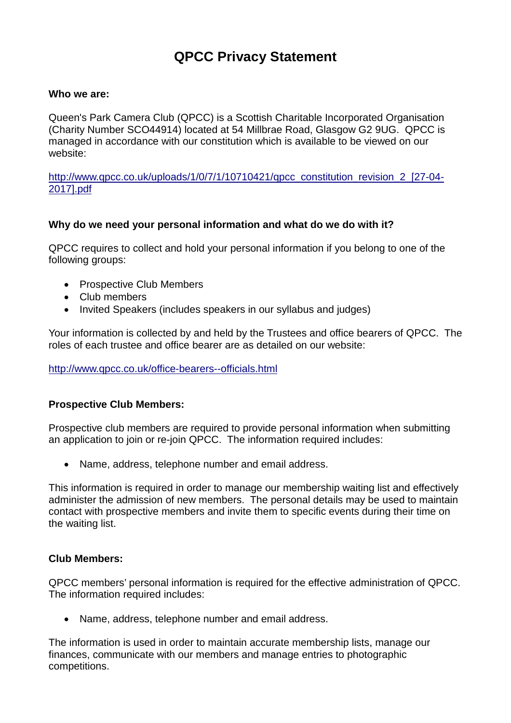# **QPCC Privacy Statement**

## **Who we are:**

Queen's Park Camera Club (QPCC) is a Scottish Charitable Incorporated Organisation (Charity Number SCO44914) located at 54 Millbrae Road, Glasgow G2 9UG. QPCC is managed in accordance with our constitution which is available to be viewed on our website:

[http://www.qpcc.co.uk/uploads/1/0/7/1/10710421/qpcc\\_constitution\\_revision\\_2\\_\[27-04-](http://www.qpcc.co.uk/uploads/1/0/7/1/10710421/qpcc_constitution_revision_2_%255B27-04-2017%255D.pdf) [2017\].pdf](http://www.qpcc.co.uk/uploads/1/0/7/1/10710421/qpcc_constitution_revision_2_%255B27-04-2017%255D.pdf)

## **Why do we need your personal information and what do we do with it?**

QPCC requires to collect and hold your personal information if you belong to one of the following groups:

- Prospective Club Members
- Club members
- Invited Speakers (includes speakers in our syllabus and judges)

Your information is collected by and held by the Trustees and office bearers of QPCC. The roles of each trustee and office bearer are as detailed on our website:

### <http://www.qpcc.co.uk/office-bearers--officials.html>

### **Prospective Club Members:**

Prospective club members are required to provide personal information when submitting an application to join or re-join QPCC. The information required includes:

• Name, address, telephone number and email address.

This information is required in order to manage our membership waiting list and effectively administer the admission of new members. The personal details may be used to maintain contact with prospective members and invite them to specific events during their time on the waiting list.

### **Club Members:**

QPCC members' personal information is required for the effective administration of QPCC. The information required includes:

• Name, address, telephone number and email address.

The information is used in order to maintain accurate membership lists, manage our finances, communicate with our members and manage entries to photographic competitions.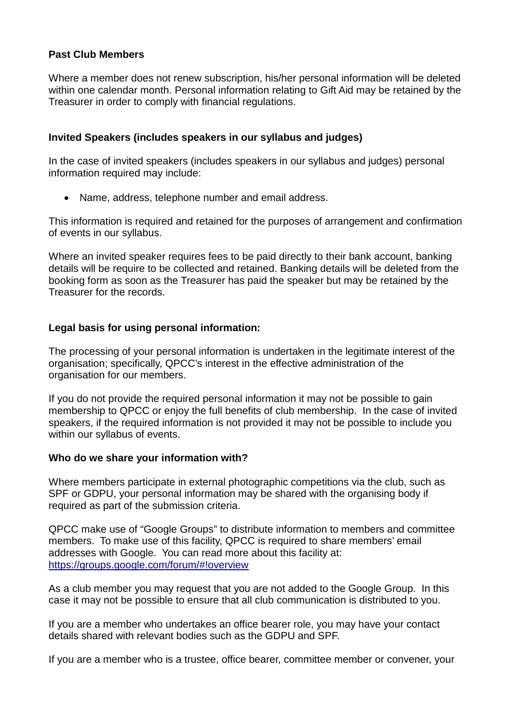# **Past Club Members**

Where a member does not renew subscription, his/her personal information will be deleted within one calendar month. Personal information relating to Gift Aid may be retained by the Treasurer in order to comply with financial regulations.

# **Invited Speakers (includes speakers in our syllabus and judges)**

In the case of invited speakers (includes speakers in our syllabus and judges) personal information required may include:

• Name, address, telephone number and email address.

This information is required and retained for the purposes of arrangement and confirmation of events in our syllabus.

Where an invited speaker requires fees to be paid directly to their bank account, banking details will be require to be collected and retained. Banking details will be deleted from the booking form as soon as the Treasurer has paid the speaker but may be retained by the Treasurer for the records.

# **Legal basis for using personal information:**

The processing of your personal information is undertaken in the legitimate interest of the organisation; specifically, QPCC's interest in the effective administration of the organisation for our members.

If you do not provide the required personal information it may not be possible to gain membership to QPCC or enjoy the full benefits of club membership. In the case of invited speakers, if the required information is not provided it may not be possible to include you within our syllabus of events.

# **Who do we share your information with?**

Where members participate in external photographic competitions via the club, such as SPF or GDPU, your personal information may be shared with the organising body if required as part of the submission criteria.

QPCC make use of "Google Groups" to distribute information to members and committee members. To make use of this facility, QPCC is required to share members' email addresses with Google. You can read more about this facility at: <https://groups.google.com/forum/#!overview>

As a club member you may request that you are not added to the Google Group. In this case it may not be possible to ensure that all club communication is distributed to you.

If you are a member who undertakes an office bearer role, you may have your contact details shared with relevant bodies such as the GDPU and SPF.

If you are a member who is a trustee, office bearer, committee member or convener, your